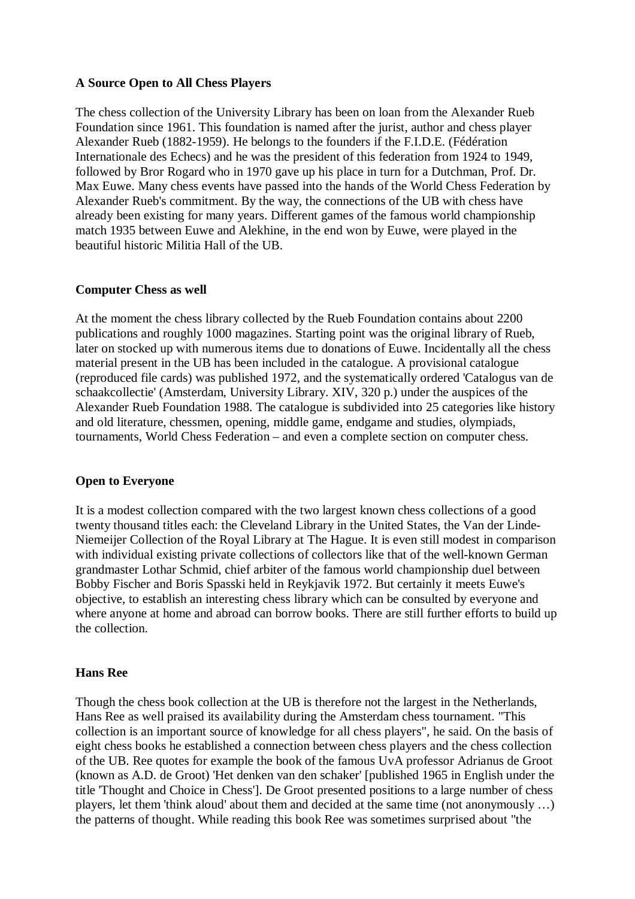## **A Source Open to All Chess Players**

The chess collection of the University Library has been on loan from the Alexander Rueb Foundation since 1961. This foundation is named after the jurist, author and chess player Alexander Rueb (1882-1959). He belongs to the founders if the F.I.D.E. (Fédération Internationale des Echecs) and he was the president of this federation from 1924 to 1949, followed by Bror Rogard who in 1970 gave up his place in turn for a Dutchman, Prof. Dr. Max Euwe. Many chess events have passed into the hands of the World Chess Federation by Alexander Rueb's commitment. By the way, the connections of the UB with chess have already been existing for many years. Different games of the famous world championship match 1935 between Euwe and Alekhine, in the end won by Euwe, were played in the beautiful historic Militia Hall of the UB.

## **Computer Chess as well**

At the moment the chess library collected by the Rueb Foundation contains about 2200 publications and roughly 1000 magazines. Starting point was the original library of Rueb, later on stocked up with numerous items due to donations of Euwe. Incidentally all the chess material present in the UB has been included in the catalogue. A provisional catalogue (reproduced file cards) was published 1972, and the systematically ordered 'Catalogus van de schaakcollectie' (Amsterdam, University Library. XIV, 320 p.) under the auspices of the Alexander Rueb Foundation 1988. The catalogue is subdivided into 25 categories like history and old literature, chessmen, opening, middle game, endgame and studies, olympiads, tournaments, World Chess Federation – and even a complete section on computer chess.

## **Open to Everyone**

It is a modest collection compared with the two largest known chess collections of a good twenty thousand titles each: the Cleveland Library in the United States, the Van der Linde-Niemeijer Collection of the Royal Library at The Hague. It is even still modest in comparison with individual existing private collections of collectors like that of the well-known German grandmaster Lothar Schmid, chief arbiter of the famous world championship duel between Bobby Fischer and Boris Spasski held in Reykjavik 1972. But certainly it meets Euwe's objective, to establish an interesting chess library which can be consulted by everyone and where anyone at home and abroad can borrow books. There are still further efforts to build up the collection.

## **Hans Ree**

Though the chess book collection at the UB is therefore not the largest in the Netherlands, Hans Ree as well praised its availability during the Amsterdam chess tournament. "This collection is an important source of knowledge for all chess players", he said. On the basis of eight chess books he established a connection between chess players and the chess collection of the UB. Ree quotes for example the book of the famous UvA professor Adrianus de Groot (known as A.D. de Groot) 'Het denken van den schaker' [published 1965 in English under the title 'Thought and Choice in Chess']. De Groot presented positions to a large number of chess players, let them 'think aloud' about them and decided at the same time (not anonymously …) the patterns of thought. While reading this book Ree was sometimes surprised about "the